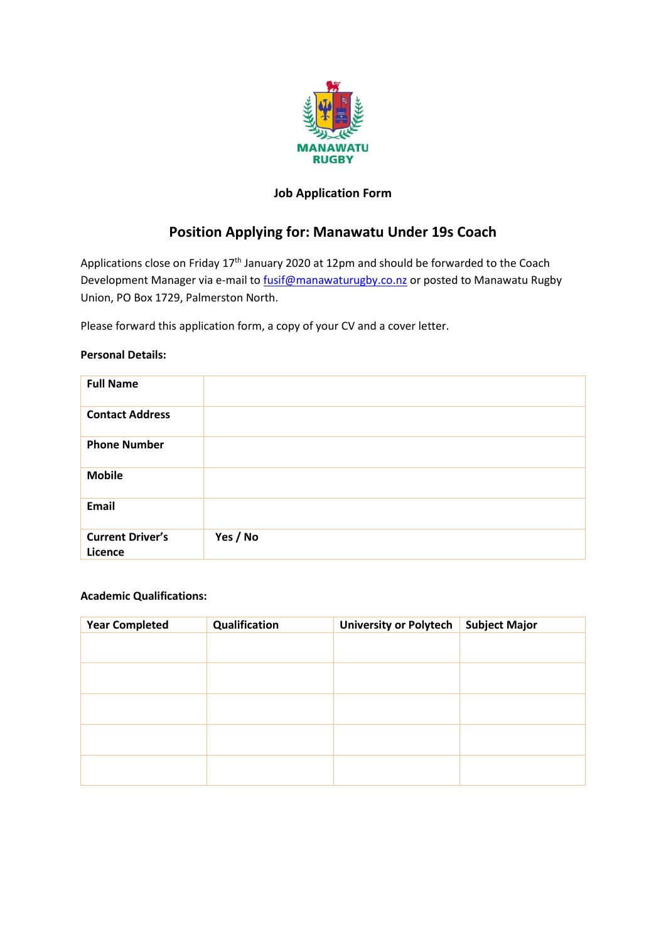

## **Job Application Form**

# **Position Applying for: Manawatu Under 19s Coach**

Applications close on Friday 17<sup>th</sup> January 2020 at 12pm and should be forwarded to the Coach Development Manager via e-mail to [fusif@manawaturugby.co.nz](mailto:fusif@manawaturugby.co.nz) or posted to Manawatu Rugby Union, PO Box 1729, Palmerston North.

Please forward this application form, a copy of your CV and a cover letter.

#### **Personal Details:**

| <b>Full Name</b>                   |          |
|------------------------------------|----------|
| <b>Contact Address</b>             |          |
| <b>Phone Number</b>                |          |
| <b>Mobile</b>                      |          |
| Email                              |          |
| <b>Current Driver's</b><br>Licence | Yes / No |

#### **Academic Qualifications:**

| <b>Year Completed</b> | Qualification | <b>University or Polytech</b> | <b>Subject Major</b> |
|-----------------------|---------------|-------------------------------|----------------------|
|                       |               |                               |                      |
|                       |               |                               |                      |
|                       |               |                               |                      |
|                       |               |                               |                      |
|                       |               |                               |                      |
|                       |               |                               |                      |
|                       |               |                               |                      |
|                       |               |                               |                      |
|                       |               |                               |                      |
|                       |               |                               |                      |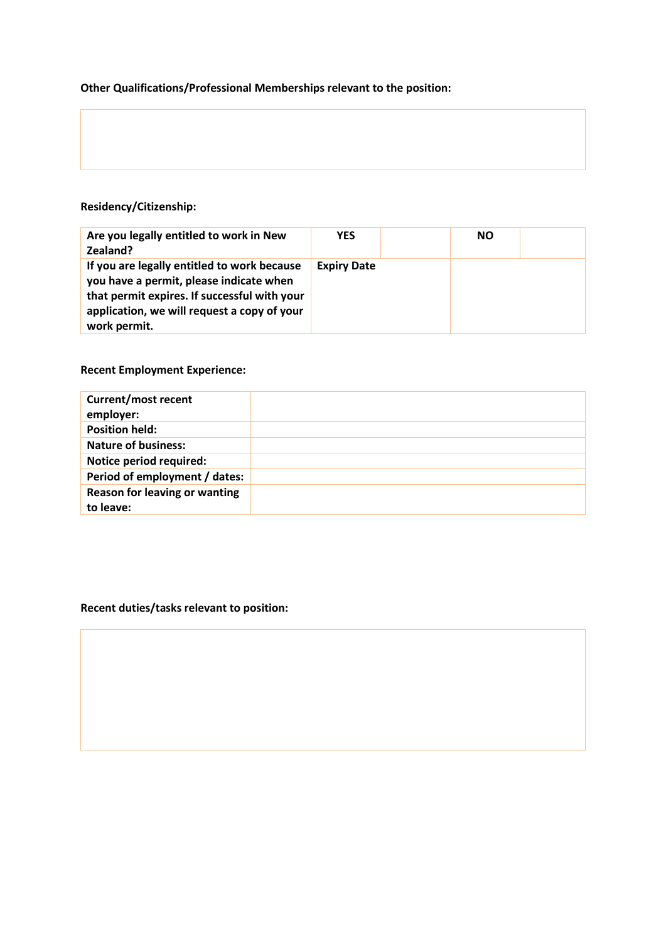### **Other Qualifications/Professional Memberships relevant to the position:**

## **Residency/Citizenship:**

| Are you legally entitled to work in New<br>Zealand?                                                                                                                                                   | <b>YES</b>         | <b>NO</b> |  |
|-------------------------------------------------------------------------------------------------------------------------------------------------------------------------------------------------------|--------------------|-----------|--|
| If you are legally entitled to work because<br>you have a permit, please indicate when<br>that permit expires. If successful with your<br>application, we will request a copy of your<br>work permit. | <b>Expiry Date</b> |           |  |

### **Recent Employment Experience:**

| <b>Current/most recent</b><br>employer: |  |
|-----------------------------------------|--|
| <b>Position held:</b>                   |  |
| <b>Nature of business:</b>              |  |
| Notice period required:                 |  |
| Period of employment / dates:           |  |
| Reason for leaving or wanting           |  |
| to leave:                               |  |

## **Recent duties/tasks relevant to position:**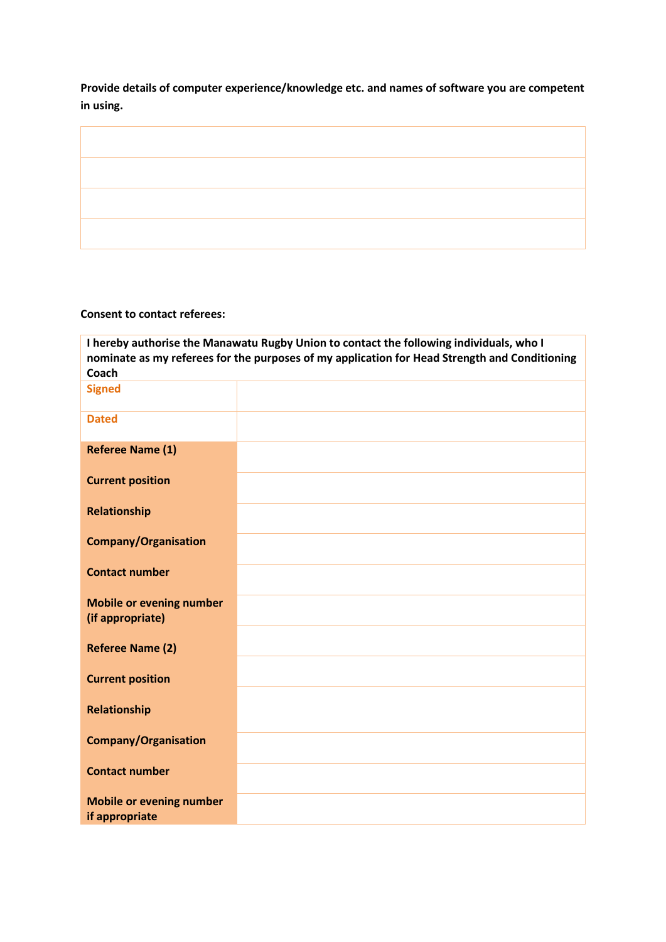**Provide details of computer experience/knowledge etc. and names of software you are competent in using.**



#### **Consent to contact referees:**

**I hereby authorise the Manawatu Rugby Union to contact the following individuals, who I nominate as my referees for the purposes of my application for Head Strength and Conditioning Coach Signed Dated Referee Name (1) Current position Relationship Company/Organisation Contact number Mobile or evening number (if appropriate) Referee Name (2) Current position Relationship Company/Organisation Contact number Mobile or evening number if appropriate**